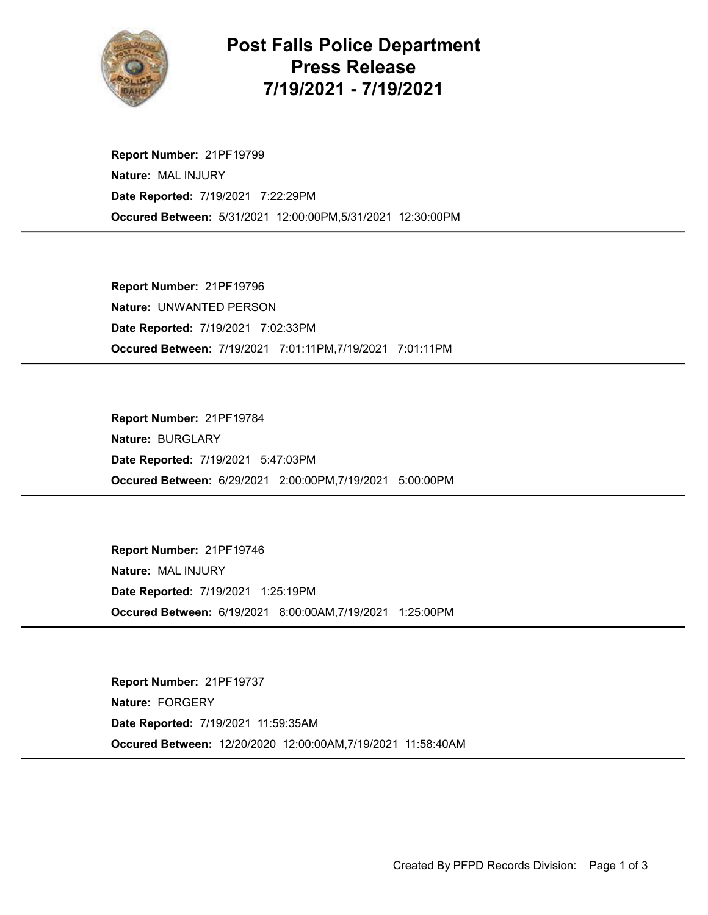

## Post Falls Police Department Press Release 7/19/2021 - 7/19/2021

Occured Between: 5/31/2021 12:00:00PM,5/31/2021 12:30:00PM Report Number: 21PF19799 Nature: MAL INJURY Date Reported: 7/19/2021 7:22:29PM

Occured Between: 7/19/2021 7:01:11PM,7/19/2021 7:01:11PM Report Number: 21PF19796 Nature: UNWANTED PERSON Date Reported: 7/19/2021 7:02:33PM

Occured Between: 6/29/2021 2:00:00PM,7/19/2021 5:00:00PM Report Number: 21PF19784 Nature: BURGLARY Date Reported: 7/19/2021 5:47:03PM

Occured Between: 6/19/2021 8:00:00AM,7/19/2021 1:25:00PM Report Number: 21PF19746 Nature: MAL INJURY Date Reported: 7/19/2021 1:25:19PM

Occured Between: 12/20/2020 12:00:00AM,7/19/2021 11:58:40AM Report Number: 21PF19737 Nature: FORGERY Date Reported: 7/19/2021 11:59:35AM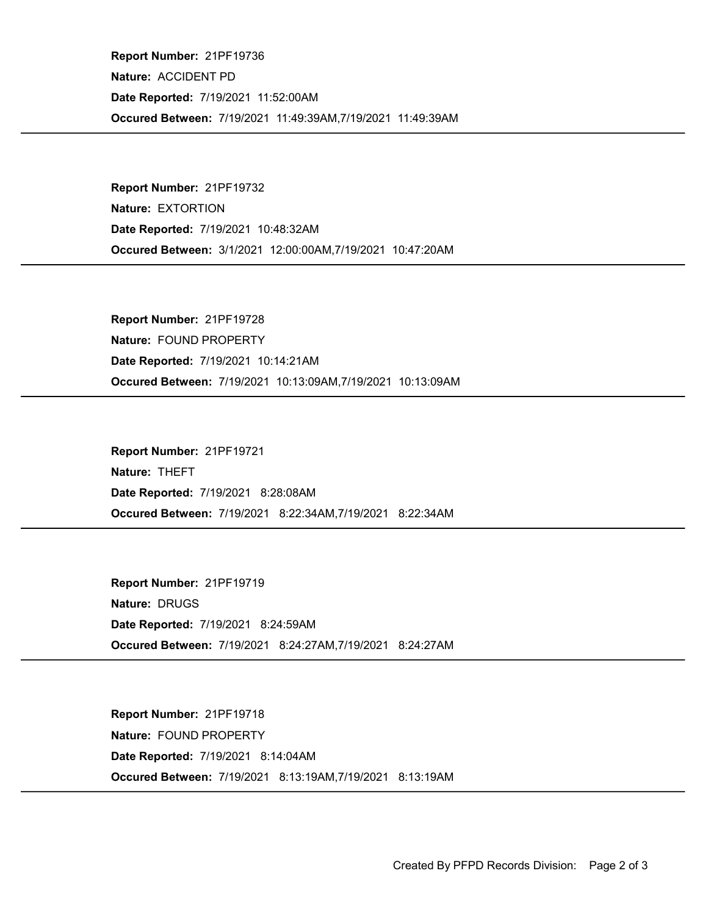Occured Between: 7/19/2021 11:49:39AM,7/19/2021 11:49:39AM Report Number: 21PF19736 Nature: ACCIDENT PD Date Reported: 7/19/2021 11:52:00AM

Occured Between: 3/1/2021 12:00:00AM,7/19/2021 10:47:20AM Report Number: 21PF19732 Nature: EXTORTION Date Reported: 7/19/2021 10:48:32AM

Occured Between: 7/19/2021 10:13:09AM,7/19/2021 10:13:09AM Report Number: 21PF19728 Nature: FOUND PROPERTY Date Reported: 7/19/2021 10:14:21AM

Occured Between: 7/19/2021 8:22:34AM,7/19/2021 8:22:34AM Report Number: 21PF19721 Nature: THEFT Date Reported: 7/19/2021 8:28:08AM

Occured Between: 7/19/2021 8:24:27AM,7/19/2021 8:24:27AM Report Number: 21PF19719 Nature: DRUGS Date Reported: 7/19/2021 8:24:59AM

Occured Between: 7/19/2021 8:13:19AM,7/19/2021 8:13:19AM Report Number: 21PF19718 Nature: FOUND PROPERTY Date Reported: 7/19/2021 8:14:04AM